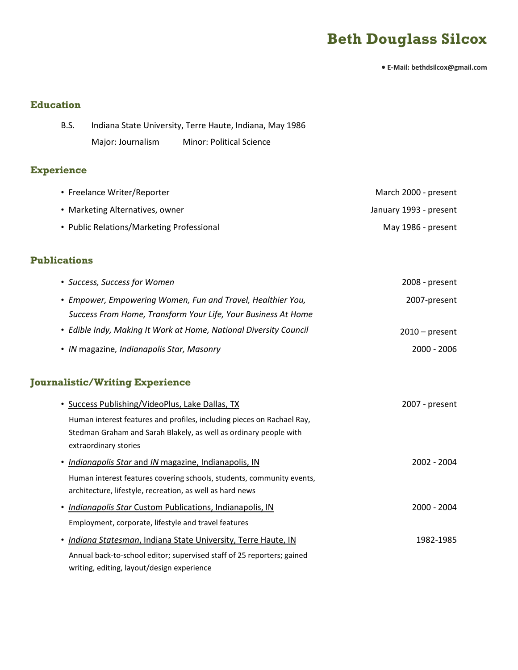# **Beth Douglass Silcox**

**E-Mail: bethdsilcox@gmail.com**

### **Education**

| <b>B.S.</b> |                   | Indiana State University, Terre Haute, Indiana, May 1986 |
|-------------|-------------------|----------------------------------------------------------|
|             | Major: Journalism | Minor: Political Science                                 |

## **Experience**

| • Freelance Writer/Reporter               | March 2000 - present   |
|-------------------------------------------|------------------------|
| • Marketing Alternatives, owner           | January 1993 - present |
| • Public Relations/Marketing Professional | May 1986 - present     |

#### **Publications**

| • Success, Success for Women                                      | 2008 - present   |
|-------------------------------------------------------------------|------------------|
| • Empower, Empowering Women, Fun and Travel, Healthier You,       | 2007-present     |
| Success From Home, Transform Your Life, Your Business At Home     |                  |
| • Edible Indy, Making It Work at Home, National Diversity Council | $2010$ – present |
| • IN magazine, Indianapolis Star, Masonry                         | $2000 - 2006$    |

## **Journalistic/Writing Experience**

| • Success Publishing/VideoPlus, Lake Dallas, TX                        | 2007 - present |
|------------------------------------------------------------------------|----------------|
| Human interest features and profiles, including pieces on Rachael Ray, |                |
| Stedman Graham and Sarah Blakely, as well as ordinary people with      |                |
| extraordinary stories                                                  |                |
| • Indianapolis Star and IN magazine, Indianapolis, IN                  | 2002 - 2004    |
| Human interest features covering schools, students, community events,  |                |
| architecture, lifestyle, recreation, as well as hard news              |                |
| • Indianapolis Star Custom Publications, Indianapolis, IN              | 2000 - 2004    |
| Employment, corporate, lifestyle and travel features                   |                |
| • Indiana Statesman, Indiana State University, Terre Haute, IN         | 1982-1985      |
| Annual back-to-school editor; supervised staff of 25 reporters; gained |                |
| writing, editing, layout/design experience                             |                |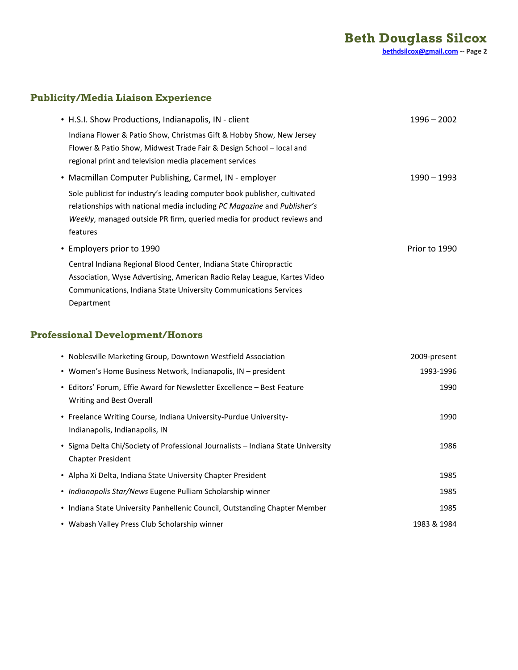## **Publicity/Media Liaison Experience**

|                           | • H.S.I. Show Productions, Indianapolis, IN - client                      | $1996 - 2002$ |
|---------------------------|---------------------------------------------------------------------------|---------------|
|                           | Indiana Flower & Patio Show, Christmas Gift & Hobby Show, New Jersey      |               |
|                           | Flower & Patio Show, Midwest Trade Fair & Design School – local and       |               |
|                           | regional print and television media placement services                    |               |
|                           | • Macmillan Computer Publishing, Carmel, IN - employer                    | 1990 – 1993   |
|                           | Sole publicist for industry's leading computer book publisher, cultivated |               |
|                           | relationships with national media including PC Magazine and Publisher's   |               |
|                           | Weekly, managed outside PR firm, queried media for product reviews and    |               |
| features                  |                                                                           |               |
| • Employers prior to 1990 |                                                                           | Prior to 1990 |
|                           | Central Indiana Regional Blood Center, Indiana State Chiropractic         |               |
|                           | Association, Wyse Advertising, American Radio Relay League, Kartes Video  |               |
|                           | Communications, Indiana State University Communications Services          |               |
| Department                |                                                                           |               |

## **Professional Development/Honors**

| • Noblesville Marketing Group, Downtown Westfield Association                                                | 2009-present |
|--------------------------------------------------------------------------------------------------------------|--------------|
| • Women's Home Business Network, Indianapolis, IN - president                                                | 1993-1996    |
| • Editors' Forum, Effie Award for Newsletter Excellence – Best Feature<br>Writing and Best Overall           | 1990         |
| • Freelance Writing Course, Indiana University-Purdue University-<br>Indianapolis, Indianapolis, IN          | 1990         |
| • Sigma Delta Chi/Society of Professional Journalists - Indiana State University<br><b>Chapter President</b> | 1986         |
| • Alpha Xi Delta, Indiana State University Chapter President                                                 | 1985         |
| • Indianapolis Star/News Eugene Pulliam Scholarship winner                                                   | 1985         |
| • Indiana State University Panhellenic Council, Outstanding Chapter Member                                   | 1985         |
| • Wabash Valley Press Club Scholarship winner                                                                | 1983 & 1984  |